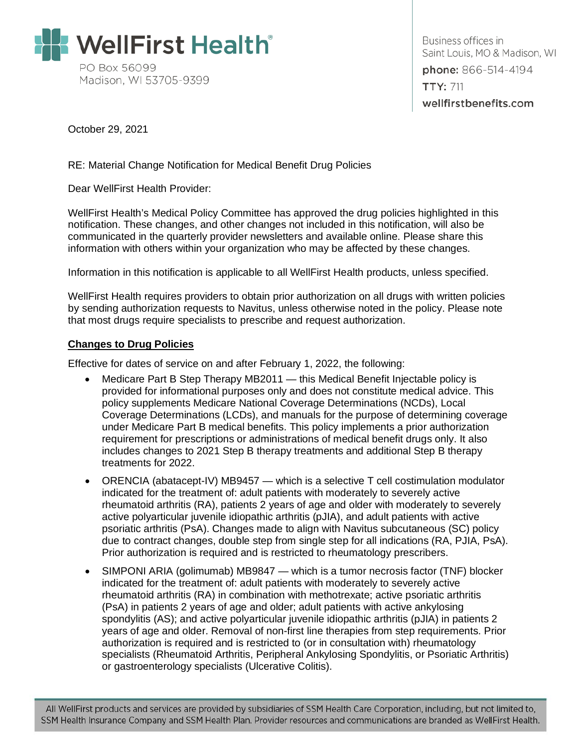

Business offices in Saint Louis, MO & Madison, WI phone: 866-514-4194 **TTY: 711** wellfirstbenefits.com

October 29, 2021

RE: Material Change Notification for Medical Benefit Drug Policies

Dear WellFirst Health Provider:

WellFirst Health's Medical Policy Committee has approved the drug policies highlighted in this notification. These changes, and other changes not included in this notification, will also be communicated in the quarterly provider newsletters and available online. Please share this information with others within your organization who may be affected by these changes.

Information in this notification is applicable to all WellFirst Health products, unless specified.

WellFirst Health requires providers to obtain prior authorization on all drugs with written policies by sending authorization requests to Navitus, unless otherwise noted in the policy. Please note that most drugs require specialists to prescribe and request authorization.

## **Changes to Drug Policies**

Effective for dates of service on and after February 1, 2022, the following:

- Medicare Part B Step Therapy MB2011 this Medical Benefit Injectable policy is provided for informational purposes only and does not constitute medical advice. This policy supplements Medicare National Coverage Determinations (NCDs), Local Coverage Determinations (LCDs), and manuals for the purpose of determining coverage under Medicare Part B medical benefits. This policy implements a prior authorization requirement for prescriptions or administrations of medical benefit drugs only. It also includes changes to 2021 Step B therapy treatments and additional Step B therapy treatments for 2022.
- ORENCIA (abatacept-IV) MB9457 which is a selective T cell costimulation modulator indicated for the treatment of: adult patients with moderately to severely active rheumatoid arthritis (RA), patients 2 years of age and older with moderately to severely active polyarticular juvenile idiopathic arthritis (pJIA), and adult patients with active psoriatic arthritis (PsA). Changes made to align with Navitus subcutaneous (SC) policy due to contract changes, double step from single step for all indications (RA, PJIA, PsA). Prior authorization is required and is restricted to rheumatology prescribers.
- SIMPONI ARIA (golimumab) MB9847 which is a tumor necrosis factor (TNF) blocker indicated for the treatment of: adult patients with moderately to severely active rheumatoid arthritis (RA) in combination with methotrexate; active psoriatic arthritis (PsA) in patients 2 years of age and older; adult patients with active ankylosing spondylitis (AS); and active polyarticular juvenile idiopathic arthritis (pJIA) in patients 2 years of age and older. Removal of non-first line therapies from step requirements. Prior authorization is required and is restricted to (or in consultation with) rheumatology specialists (Rheumatoid Arthritis, Peripheral Ankylosing Spondylitis, or Psoriatic Arthritis) or gastroenterology specialists (Ulcerative Colitis).

All WellFirst products and services are provided by subsidiaries of SSM Health Care Corporation, including, but not limited to, SSM Health Insurance Company and SSM Health Plan. Provider resources and communications are branded as WellFirst Health.

When  $\mathcal{M}(\mathcal{M})$  and  $\mathcal{M}(\mathcal{M})$  and  $\mathcal{M}(\mathcal{M})$  and  $\mathcal{M}(\mathcal{M})$  and  $\mathcal{M}(\mathcal{M})$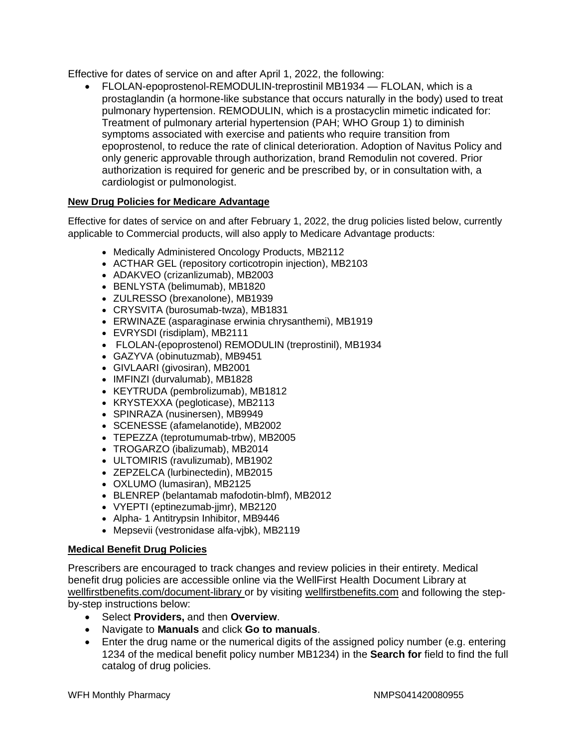Effective for dates of service on and after April 1, 2022, the following:

• FLOLAN-epoprostenol-REMODULIN-treprostinil MB1934 — FLOLAN, which is a prostaglandin (a hormone-like substance that occurs naturally in the body) used to treat pulmonary hypertension. REMODULIN, which is a prostacyclin mimetic indicated for: Treatment of pulmonary arterial hypertension (PAH; WHO Group 1) to diminish symptoms associated with exercise and patients who require transition from epoprostenol, to reduce the rate of clinical deterioration. Adoption of Navitus Policy and only generic approvable through authorization, brand Remodulin not covered. Prior authorization is required for generic and be prescribed by, or in consultation with, a cardiologist or pulmonologist.

## **New Drug Policies for Medicare Advantage**

Effective for dates of service on and after February 1, 2022, the drug policies listed below, currently applicable to Commercial products, will also apply to Medicare Advantage products:

- Medically Administered Oncology Products, MB2112
- ACTHAR GEL (repository corticotropin injection), MB2103
- ADAKVEO (crizanlizumab), MB2003
- BENLYSTA (belimumab), MB1820
- ZULRESSO (brexanolone), MB1939
- CRYSVITA (burosumab-twza), MB1831
- ERWINAZE (asparaginase erwinia chrysanthemi), MB1919
- EVRYSDI (risdiplam), MB2111
- FLOLAN-(epoprostenol) REMODULIN (treprostinil), MB1934
- GAZYVA (obinutuzmab), MB9451
- GIVLAARI (givosiran), MB2001
- IMFINZI (durvalumab), MB1828
- KEYTRUDA (pembrolizumab), MB1812
- KRYSTEXXA (pegloticase), MB2113
- SPINRAZA (nusinersen), MB9949
- SCENESSE (afamelanotide), MB2002
- TEPEZZA (teprotumumab-trbw), MB2005
- TROGARZO (ibalizumab), MB2014
- ULTOMIRIS (ravulizumab), MB1902
- ZEPZELCA (lurbinectedin), MB2015
- OXLUMO (lumasiran), MB2125
- BLENREP (belantamab mafodotin-blmf), MB2012
- VYEPTI (eptinezumab-jjmr), MB2120
- Alpha- 1 Antitrypsin Inhibitor, MB9446
- Mepsevii (vestronidase alfa-vjbk), MB2119

## **Medical Benefit Drug Policies**

Prescribers are encouraged to track changes and review policies in their entirety. Medical benefit drug policies are accessible online via the WellFirst Health Document Library at [wellfirstbenefits.com/document-library](https://wellfirstbenefits.com/document-library) or by visiting [wellfirstbenefits.com](https://wellfirstbenefits.com/) and following the stepby-step instructions below:

- Select **Providers,** and then **Overview**.
- Navigate to **Manuals** and click **Go to manuals**.
- Enter the drug name or the numerical digits of the assigned policy number (e.g. entering 1234 of the medical benefit policy number MB1234) in the **Search for** field to find the full catalog of drug policies.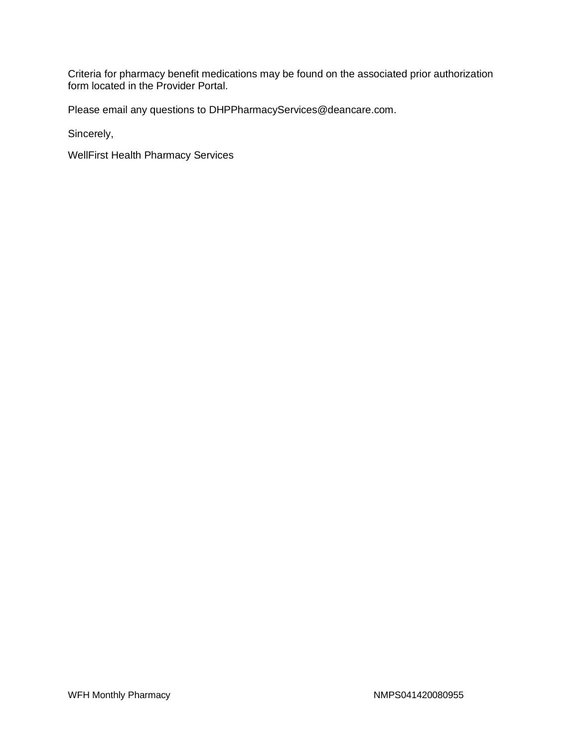Criteria for pharmacy benefit medications may be found on the associated prior authorization form located in the Provider Portal.

Please email any questions to DHPPharmacyServices@deancare.com.

Sincerely,

WellFirst Health Pharmacy Services